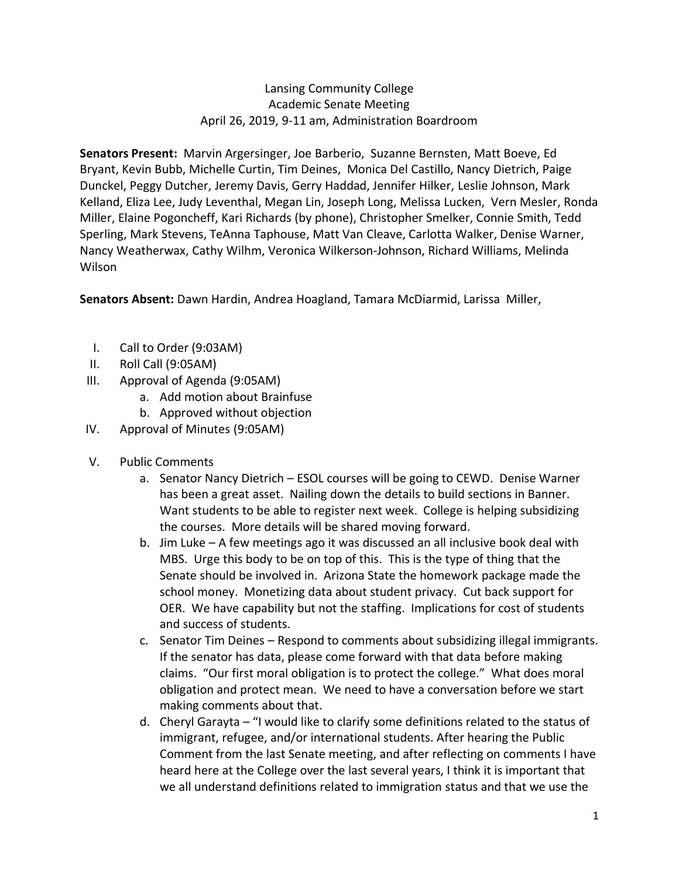## Lansing Community College Academic Senate Meeting April 26, 2019, 9-11 am, Administration Boardroom

**Senators Present:** Marvin Argersinger, Joe Barberio, Suzanne Bernsten, Matt Boeve, Ed Bryant, Kevin Bubb, Michelle Curtin, Tim Deines, Monica Del Castillo, Nancy Dietrich, Paige Dunckel, Peggy Dutcher, Jeremy Davis, Gerry Haddad, Jennifer Hilker, Leslie Johnson, Mark Kelland, Eliza Lee, Judy Leventhal, Megan Lin, Joseph Long, Melissa Lucken, Vern Mesler, Ronda Miller, Elaine Pogoncheff, Kari Richards (by phone), Christopher Smelker, Connie Smith, Tedd Sperling, Mark Stevens, TeAnna Taphouse, Matt Van Cleave, Carlotta Walker, Denise Warner, Nancy Weatherwax, Cathy Wilhm, Veronica Wilkerson-Johnson, Richard Williams, Melinda Wilson

**Senators Absent:** Dawn Hardin, Andrea Hoagland, Tamara McDiarmid, Larissa Miller,

- I. Call to Order (9:03AM)
- II. Roll Call (9:05AM)
- III. Approval of Agenda (9:05AM)
	- a. Add motion about Brainfuse
	- b. Approved without objection
- IV. Approval of Minutes (9:05AM)
- V. Public Comments
	- a. Senator Nancy Dietrich ESOL courses will be going to CEWD. Denise Warner has been a great asset. Nailing down the details to build sections in Banner. Want students to be able to register next week. College is helping subsidizing the courses. More details will be shared moving forward.
	- b. Jim Luke A few meetings ago it was discussed an all inclusive book deal with MBS. Urge this body to be on top of this. This is the type of thing that the Senate should be involved in. Arizona State the homework package made the school money. Monetizing data about student privacy. Cut back support for OER. We have capability but not the staffing. Implications for cost of students and success of students.
	- c. Senator Tim Deines Respond to comments about subsidizing illegal immigrants. If the senator has data, please come forward with that data before making claims. "Our first moral obligation is to protect the college." What does moral obligation and protect mean. We need to have a conversation before we start making comments about that.
	- d. Cheryl Garayta "I would like to clarify some definitions related to the status of immigrant, refugee, and/or international students. After hearing the Public Comment from the last Senate meeting, and after reflecting on comments I have heard here at the College over the last several years, I think it is important that we all understand definitions related to immigration status and that we use the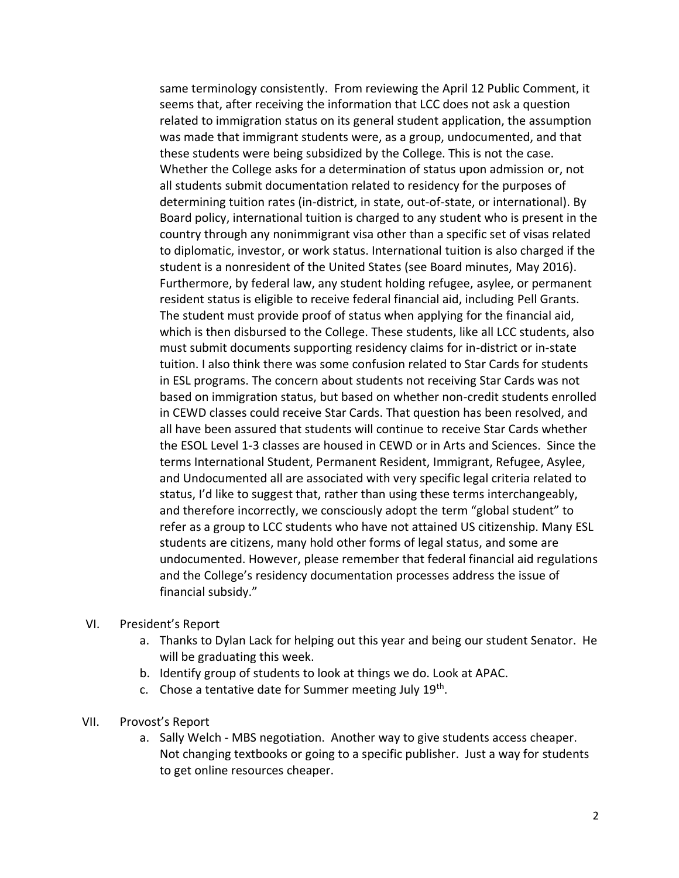same terminology consistently. From reviewing the April 12 Public Comment, it seems that, after receiving the information that LCC does not ask a question related to immigration status on its general student application, the assumption was made that immigrant students were, as a group, undocumented, and that these students were being subsidized by the College. This is not the case. Whether the College asks for a determination of status upon admission or, not all students submit documentation related to residency for the purposes of determining tuition rates (in-district, in state, out-of-state, or international). By Board policy, international tuition is charged to any student who is present in the country through any nonimmigrant visa other than a specific set of visas related to diplomatic, investor, or work status. International tuition is also charged if the student is a nonresident of the United States (see Board minutes, May 2016). Furthermore, by federal law, any student holding refugee, asylee, or permanent resident status is eligible to receive federal financial aid, including Pell Grants. The student must provide proof of status when applying for the financial aid, which is then disbursed to the College. These students, like all LCC students, also must submit documents supporting residency claims for in-district or in-state tuition. I also think there was some confusion related to Star Cards for students in ESL programs. The concern about students not receiving Star Cards was not based on immigration status, but based on whether non-credit students enrolled in CEWD classes could receive Star Cards. That question has been resolved, and all have been assured that students will continue to receive Star Cards whether the ESOL Level 1-3 classes are housed in CEWD or in Arts and Sciences. Since the terms International Student, Permanent Resident, Immigrant, Refugee, Asylee, and Undocumented all are associated with very specific legal criteria related to status, I'd like to suggest that, rather than using these terms interchangeably, and therefore incorrectly, we consciously adopt the term "global student" to refer as a group to LCC students who have not attained US citizenship. Many ESL students are citizens, many hold other forms of legal status, and some are undocumented. However, please remember that federal financial aid regulations and the College's residency documentation processes address the issue of financial subsidy."

- VI. President's Report
	- a. Thanks to Dylan Lack for helping out this year and being our student Senator. He will be graduating this week.
	- b. Identify group of students to look at things we do. Look at APAC.
	- c. Chose a tentative date for Summer meeting July 19<sup>th</sup>.
- VII. Provost's Report
	- a. Sally Welch MBS negotiation. Another way to give students access cheaper. Not changing textbooks or going to a specific publisher. Just a way for students to get online resources cheaper.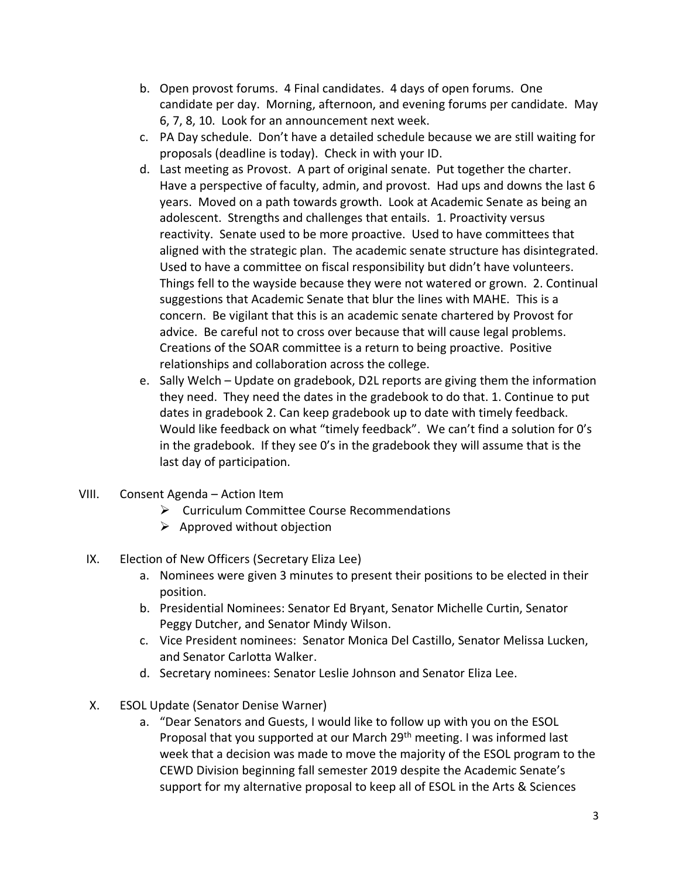- b. Open provost forums. 4 Final candidates. 4 days of open forums. One candidate per day. Morning, afternoon, and evening forums per candidate. May 6, 7, 8, 10. Look for an announcement next week.
- c. PA Day schedule. Don't have a detailed schedule because we are still waiting for proposals (deadline is today). Check in with your ID.
- d. Last meeting as Provost. A part of original senate. Put together the charter. Have a perspective of faculty, admin, and provost. Had ups and downs the last 6 years. Moved on a path towards growth. Look at Academic Senate as being an adolescent. Strengths and challenges that entails. 1. Proactivity versus reactivity. Senate used to be more proactive. Used to have committees that aligned with the strategic plan. The academic senate structure has disintegrated. Used to have a committee on fiscal responsibility but didn't have volunteers. Things fell to the wayside because they were not watered or grown. 2. Continual suggestions that Academic Senate that blur the lines with MAHE. This is a concern. Be vigilant that this is an academic senate chartered by Provost for advice. Be careful not to cross over because that will cause legal problems. Creations of the SOAR committee is a return to being proactive. Positive relationships and collaboration across the college.
- e. Sally Welch Update on gradebook, D2L reports are giving them the information they need. They need the dates in the gradebook to do that. 1. Continue to put dates in gradebook 2. Can keep gradebook up to date with timely feedback. Would like feedback on what "timely feedback". We can't find a solution for 0's in the gradebook. If they see 0's in the gradebook they will assume that is the last day of participation.
- VIII. Consent Agenda Action Item
	- ➢ Curriculum Committee Course Recommendations
	- $\triangleright$  Approved without objection
	- IX. Election of New Officers (Secretary Eliza Lee)
		- a. Nominees were given 3 minutes to present their positions to be elected in their position.
		- b. Presidential Nominees: Senator Ed Bryant, Senator Michelle Curtin, Senator Peggy Dutcher, and Senator Mindy Wilson.
		- c. Vice President nominees: Senator Monica Del Castillo, Senator Melissa Lucken, and Senator Carlotta Walker.
		- d. Secretary nominees: Senator Leslie Johnson and Senator Eliza Lee.
	- X. ESOL Update (Senator Denise Warner)
		- a. "Dear Senators and Guests, I would like to follow up with you on the ESOL Proposal that you supported at our March 29<sup>th</sup> meeting. I was informed last week that a decision was made to move the majority of the ESOL program to the CEWD Division beginning fall semester 2019 despite the Academic Senate's support for my alternative proposal to keep all of ESOL in the Arts & Sciences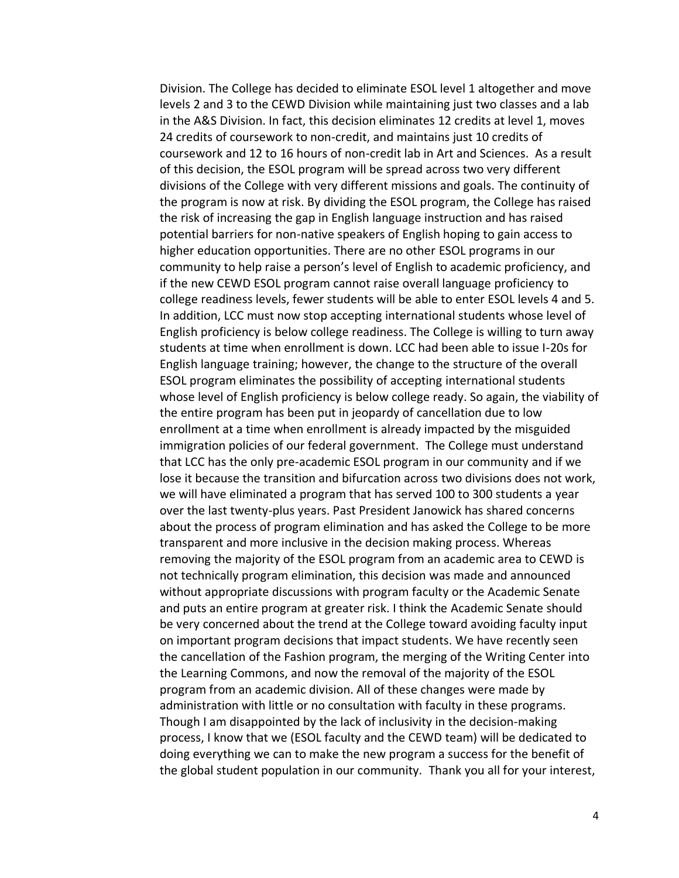Division. The College has decided to eliminate ESOL level 1 altogether and move levels 2 and 3 to the CEWD Division while maintaining just two classes and a lab in the A&S Division. In fact, this decision eliminates 12 credits at level 1, moves 24 credits of coursework to non-credit, and maintains just 10 credits of coursework and 12 to 16 hours of non-credit lab in Art and Sciences. As a result of this decision, the ESOL program will be spread across two very different divisions of the College with very different missions and goals. The continuity of the program is now at risk. By dividing the ESOL program, the College has raised the risk of increasing the gap in English language instruction and has raised potential barriers for non-native speakers of English hoping to gain access to higher education opportunities. There are no other ESOL programs in our community to help raise a person's level of English to academic proficiency, and if the new CEWD ESOL program cannot raise overall language proficiency to college readiness levels, fewer students will be able to enter ESOL levels 4 and 5. In addition, LCC must now stop accepting international students whose level of English proficiency is below college readiness. The College is willing to turn away students at time when enrollment is down. LCC had been able to issue I-20s for English language training; however, the change to the structure of the overall ESOL program eliminates the possibility of accepting international students whose level of English proficiency is below college ready. So again, the viability of the entire program has been put in jeopardy of cancellation due to low enrollment at a time when enrollment is already impacted by the misguided immigration policies of our federal government. The College must understand that LCC has the only pre-academic ESOL program in our community and if we lose it because the transition and bifurcation across two divisions does not work, we will have eliminated a program that has served 100 to 300 students a year over the last twenty-plus years. Past President Janowick has shared concerns about the process of program elimination and has asked the College to be more transparent and more inclusive in the decision making process. Whereas removing the majority of the ESOL program from an academic area to CEWD is not technically program elimination, this decision was made and announced without appropriate discussions with program faculty or the Academic Senate and puts an entire program at greater risk. I think the Academic Senate should be very concerned about the trend at the College toward avoiding faculty input on important program decisions that impact students. We have recently seen the cancellation of the Fashion program, the merging of the Writing Center into the Learning Commons, and now the removal of the majority of the ESOL program from an academic division. All of these changes were made by administration with little or no consultation with faculty in these programs. Though I am disappointed by the lack of inclusivity in the decision-making process, I know that we (ESOL faculty and the CEWD team) will be dedicated to doing everything we can to make the new program a success for the benefit of the global student population in our community. Thank you all for your interest,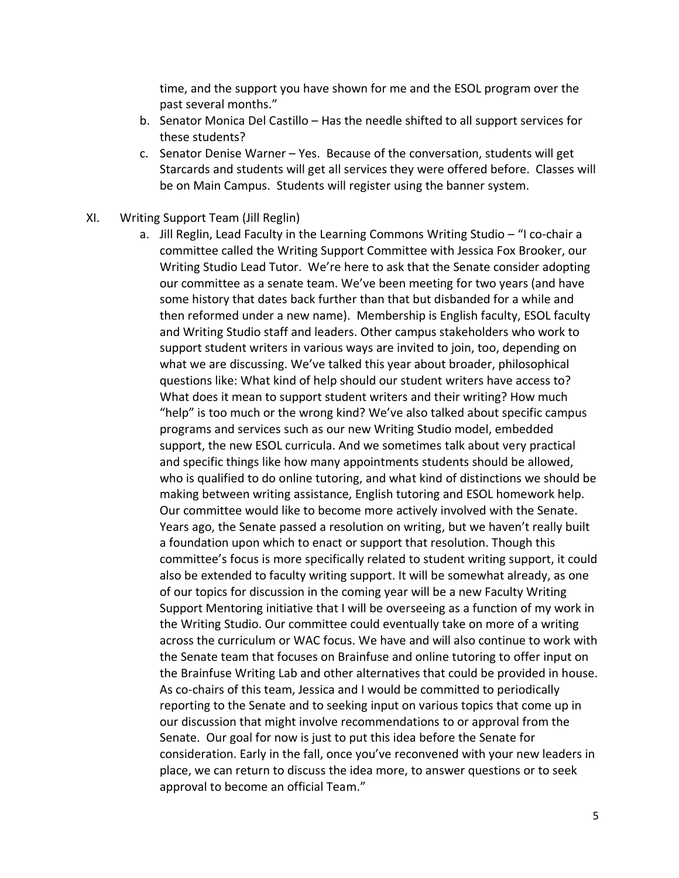time, and the support you have shown for me and the ESOL program over the past several months."

- b. Senator Monica Del Castillo Has the needle shifted to all support services for these students?
- c. Senator Denise Warner Yes. Because of the conversation, students will get Starcards and students will get all services they were offered before. Classes will be on Main Campus. Students will register using the banner system.
- XI. Writing Support Team (Jill Reglin)
	- a. Jill Reglin, Lead Faculty in the Learning Commons Writing Studio "I co-chair a committee called the Writing Support Committee with Jessica Fox Brooker, our Writing Studio Lead Tutor. We're here to ask that the Senate consider adopting our committee as a senate team. We've been meeting for two years (and have some history that dates back further than that but disbanded for a while and then reformed under a new name). Membership is English faculty, ESOL faculty and Writing Studio staff and leaders. Other campus stakeholders who work to support student writers in various ways are invited to join, too, depending on what we are discussing. We've talked this year about broader, philosophical questions like: What kind of help should our student writers have access to? What does it mean to support student writers and their writing? How much "help" is too much or the wrong kind? We've also talked about specific campus programs and services such as our new Writing Studio model, embedded support, the new ESOL curricula. And we sometimes talk about very practical and specific things like how many appointments students should be allowed, who is qualified to do online tutoring, and what kind of distinctions we should be making between writing assistance, English tutoring and ESOL homework help. Our committee would like to become more actively involved with the Senate. Years ago, the Senate passed a resolution on writing, but we haven't really built a foundation upon which to enact or support that resolution. Though this committee's focus is more specifically related to student writing support, it could also be extended to faculty writing support. It will be somewhat already, as one of our topics for discussion in the coming year will be a new Faculty Writing Support Mentoring initiative that I will be overseeing as a function of my work in the Writing Studio. Our committee could eventually take on more of a writing across the curriculum or WAC focus. We have and will also continue to work with the Senate team that focuses on Brainfuse and online tutoring to offer input on the Brainfuse Writing Lab and other alternatives that could be provided in house. As co-chairs of this team, Jessica and I would be committed to periodically reporting to the Senate and to seeking input on various topics that come up in our discussion that might involve recommendations to or approval from the Senate. Our goal for now is just to put this idea before the Senate for consideration. Early in the fall, once you've reconvened with your new leaders in place, we can return to discuss the idea more, to answer questions or to seek approval to become an official Team."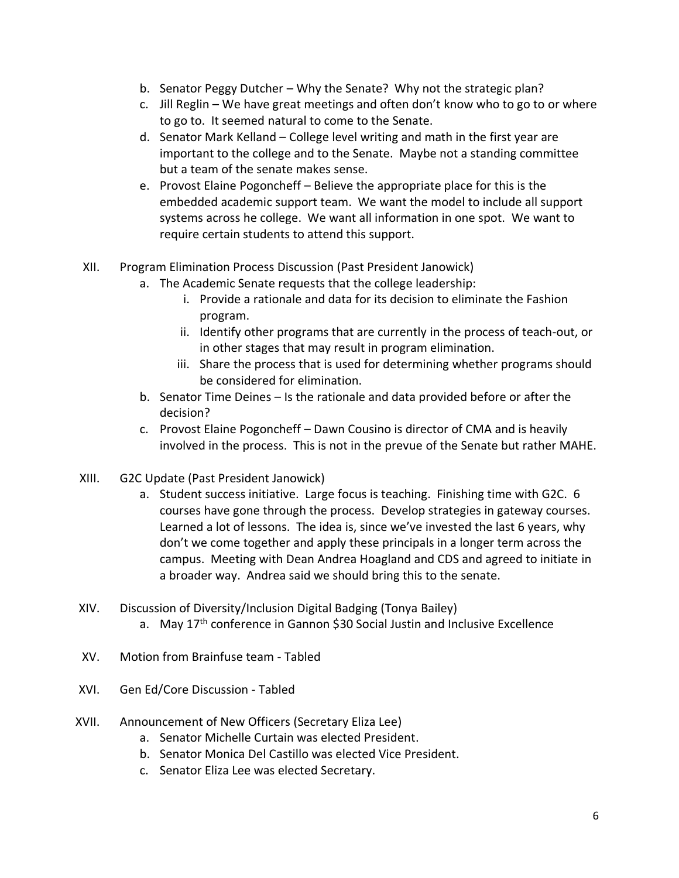- b. Senator Peggy Dutcher Why the Senate? Why not the strategic plan?
- c. Jill Reglin We have great meetings and often don't know who to go to or where to go to. It seemed natural to come to the Senate.
- d. Senator Mark Kelland College level writing and math in the first year are important to the college and to the Senate. Maybe not a standing committee but a team of the senate makes sense.
- e. Provost Elaine Pogoncheff Believe the appropriate place for this is the embedded academic support team. We want the model to include all support systems across he college. We want all information in one spot. We want to require certain students to attend this support.
- XII. Program Elimination Process Discussion (Past President Janowick)
	- a. The Academic Senate requests that the college leadership:
		- i. Provide a rationale and data for its decision to eliminate the Fashion program.
		- ii. Identify other programs that are currently in the process of teach-out, or in other stages that may result in program elimination.
		- iii. Share the process that is used for determining whether programs should be considered for elimination.
	- b. Senator Time Deines Is the rationale and data provided before or after the decision?
	- c. Provost Elaine Pogoncheff Dawn Cousino is director of CMA and is heavily involved in the process. This is not in the prevue of the Senate but rather MAHE.
- XIII. G2C Update (Past President Janowick)
	- a. Student success initiative. Large focus is teaching. Finishing time with G2C. 6 courses have gone through the process. Develop strategies in gateway courses. Learned a lot of lessons. The idea is, since we've invested the last 6 years, why don't we come together and apply these principals in a longer term across the campus. Meeting with Dean Andrea Hoagland and CDS and agreed to initiate in a broader way. Andrea said we should bring this to the senate.
- XIV. Discussion of Diversity/Inclusion Digital Badging (Tonya Bailey) a. May 17<sup>th</sup> conference in Gannon \$30 Social Justin and Inclusive Excellence
- XV. Motion from Brainfuse team Tabled
- XVI. Gen Ed/Core Discussion Tabled
- XVII. Announcement of New Officers (Secretary Eliza Lee)
	- a. Senator Michelle Curtain was elected President.
	- b. Senator Monica Del Castillo was elected Vice President.
	- c. Senator Eliza Lee was elected Secretary.